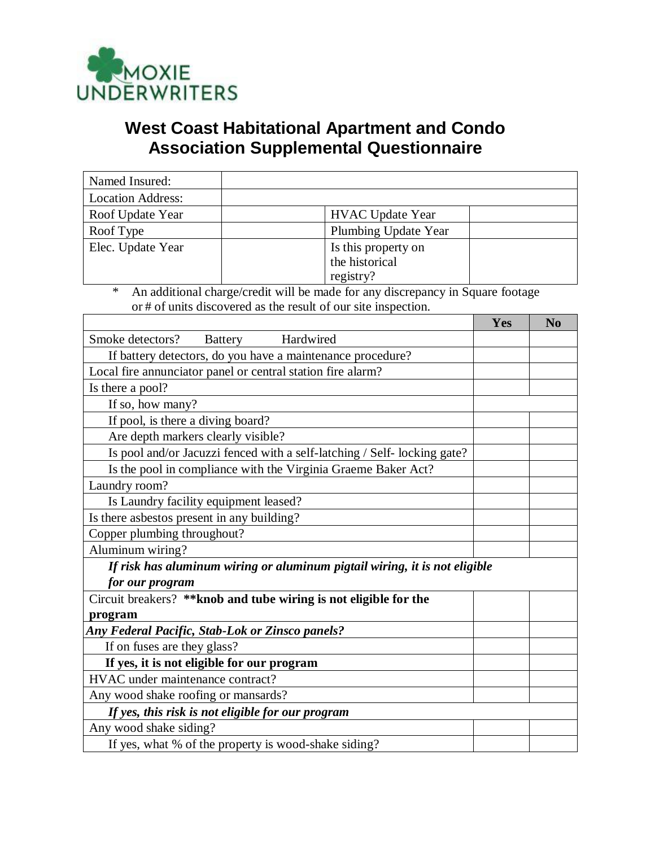

# **West Coast Habitational Apartment and Condo Association Supplemental Questionnaire**

| Named Insured:                                                    |                                                                                |     |                |  |
|-------------------------------------------------------------------|--------------------------------------------------------------------------------|-----|----------------|--|
| <b>Location Address:</b>                                          |                                                                                |     |                |  |
| Roof Update Year                                                  | <b>HVAC Update Year</b>                                                        |     |                |  |
| Roof Type                                                         | Plumbing Update Year                                                           |     |                |  |
| Elec. Update Year                                                 | Is this property on                                                            |     |                |  |
|                                                                   | the historical                                                                 |     |                |  |
|                                                                   | registry?                                                                      |     |                |  |
| ∗                                                                 | An additional charge/credit will be made for any discrepancy in Square footage |     |                |  |
|                                                                   | or # of units discovered as the result of our site inspection.                 |     |                |  |
|                                                                   |                                                                                | Yes | N <sub>o</sub> |  |
| Hardwired<br>Smoke detectors?<br><b>Battery</b>                   |                                                                                |     |                |  |
| If battery detectors, do you have a maintenance procedure?        |                                                                                |     |                |  |
| Local fire annunciator panel or central station fire alarm?       |                                                                                |     |                |  |
| Is there a pool?                                                  |                                                                                |     |                |  |
| If so, how many?                                                  |                                                                                |     |                |  |
| If pool, is there a diving board?                                 |                                                                                |     |                |  |
| Are depth markers clearly visible?                                |                                                                                |     |                |  |
|                                                                   | Is pool and/or Jacuzzi fenced with a self-latching / Self- locking gate?       |     |                |  |
| Is the pool in compliance with the Virginia Graeme Baker Act?     |                                                                                |     |                |  |
| Laundry room?                                                     |                                                                                |     |                |  |
| Is Laundry facility equipment leased?                             |                                                                                |     |                |  |
| Is there asbestos present in any building?                        |                                                                                |     |                |  |
| Copper plumbing throughout?                                       |                                                                                |     |                |  |
| Aluminum wiring?                                                  |                                                                                |     |                |  |
|                                                                   | If risk has aluminum wiring or aluminum pigtail wiring, it is not eligible     |     |                |  |
| for our program                                                   |                                                                                |     |                |  |
| Circuit breakers? ** knob and tube wiring is not eligible for the |                                                                                |     |                |  |
| program                                                           |                                                                                |     |                |  |
| <b>Any Federal Pacific, Stab-Lok or Zinsco panels?</b>            |                                                                                |     |                |  |
| If on fuses are they glass?                                       |                                                                                |     |                |  |
| If yes, it is not eligible for our program                        |                                                                                |     |                |  |
| HVAC under maintenance contract?                                  |                                                                                |     |                |  |
| Any wood shake roofing or mansards?                               |                                                                                |     |                |  |
| If yes, this risk is not eligible for our program                 |                                                                                |     |                |  |
| Any wood shake siding?                                            |                                                                                |     |                |  |
| If yes, what % of the property is wood-shake siding?              |                                                                                |     |                |  |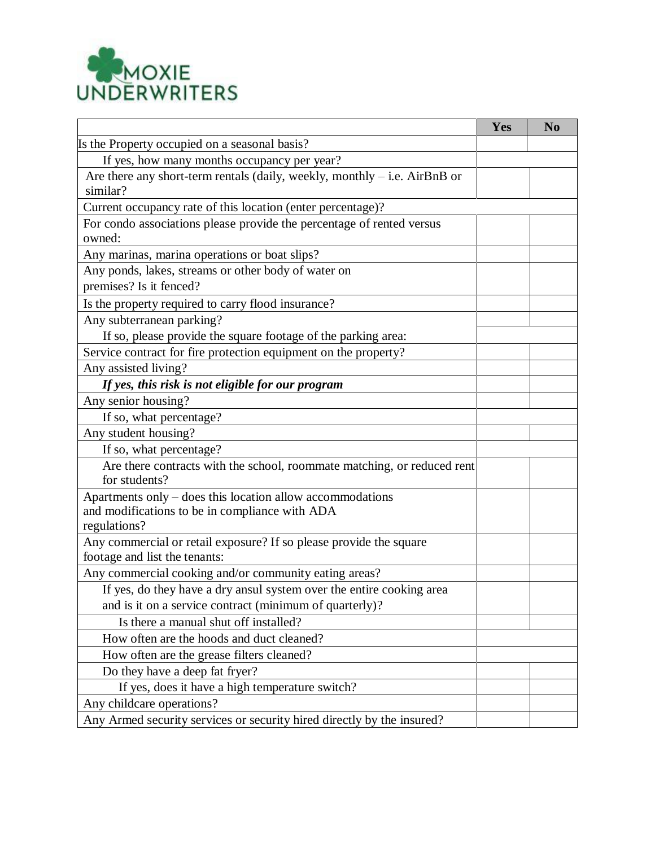

|                                                                                                     | Yes | N <sub>0</sub> |
|-----------------------------------------------------------------------------------------------------|-----|----------------|
| Is the Property occupied on a seasonal basis?                                                       |     |                |
| If yes, how many months occupancy per year?                                                         |     |                |
| Are there any short-term rentals (daily, weekly, monthly $-$ i.e. AirBnB or<br>similar?             |     |                |
| Current occupancy rate of this location (enter percentage)?                                         |     |                |
| For condo associations please provide the percentage of rented versus<br>owned:                     |     |                |
| Any marinas, marina operations or boat slips?                                                       |     |                |
| Any ponds, lakes, streams or other body of water on<br>premises? Is it fenced?                      |     |                |
| Is the property required to carry flood insurance?                                                  |     |                |
| Any subterranean parking?                                                                           |     |                |
| If so, please provide the square footage of the parking area:                                       |     |                |
| Service contract for fire protection equipment on the property?                                     |     |                |
| Any assisted living?                                                                                |     |                |
| If yes, this risk is not eligible for our program                                                   |     |                |
| Any senior housing?                                                                                 |     |                |
| If so, what percentage?                                                                             |     |                |
| Any student housing?                                                                                |     |                |
| If so, what percentage?                                                                             |     |                |
| Are there contracts with the school, roommate matching, or reduced rent<br>for students?            |     |                |
| Apartments only – does this location allow accommodations                                           |     |                |
| and modifications to be in compliance with ADA                                                      |     |                |
| regulations?                                                                                        |     |                |
| Any commercial or retail exposure? If so please provide the square<br>footage and list the tenants: |     |                |
| Any commercial cooking and/or community eating areas?                                               |     |                |
| If yes, do they have a dry ansul system over the entire cooking area                                |     |                |
| and is it on a service contract (minimum of quarterly)?                                             |     |                |
| Is there a manual shut off installed?                                                               |     |                |
| How often are the hoods and duct cleaned?                                                           |     |                |
| How often are the grease filters cleaned?                                                           |     |                |
| Do they have a deep fat fryer?                                                                      |     |                |
| If yes, does it have a high temperature switch?                                                     |     |                |
| Any childcare operations?                                                                           |     |                |
| Any Armed security services or security hired directly by the insured?                              |     |                |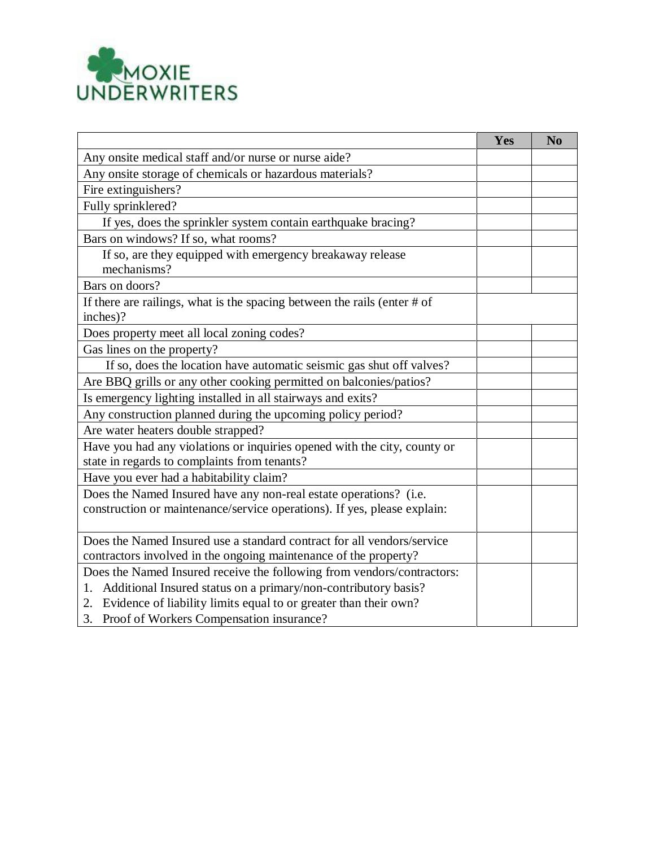

|                                                                                                                                               | Yes | N <sub>0</sub> |
|-----------------------------------------------------------------------------------------------------------------------------------------------|-----|----------------|
| Any onsite medical staff and/or nurse or nurse aide?                                                                                          |     |                |
| Any onsite storage of chemicals or hazardous materials?                                                                                       |     |                |
| Fire extinguishers?                                                                                                                           |     |                |
| Fully sprinklered?                                                                                                                            |     |                |
| If yes, does the sprinkler system contain earthquake bracing?                                                                                 |     |                |
| Bars on windows? If so, what rooms?                                                                                                           |     |                |
| If so, are they equipped with emergency breakaway release<br>mechanisms?                                                                      |     |                |
| Bars on doors?                                                                                                                                |     |                |
| If there are railings, what is the spacing between the rails (enter $# of$<br>inches)?                                                        |     |                |
| Does property meet all local zoning codes?                                                                                                    |     |                |
| Gas lines on the property?                                                                                                                    |     |                |
| If so, does the location have automatic seismic gas shut off valves?                                                                          |     |                |
| Are BBQ grills or any other cooking permitted on balconies/patios?                                                                            |     |                |
| Is emergency lighting installed in all stairways and exits?                                                                                   |     |                |
| Any construction planned during the upcoming policy period?                                                                                   |     |                |
| Are water heaters double strapped?                                                                                                            |     |                |
| Have you had any violations or inquiries opened with the city, county or<br>state in regards to complaints from tenants?                      |     |                |
| Have you ever had a habitability claim?                                                                                                       |     |                |
| Does the Named Insured have any non-real estate operations? (i.e.<br>construction or maintenance/service operations). If yes, please explain: |     |                |
| Does the Named Insured use a standard contract for all vendors/service                                                                        |     |                |
| contractors involved in the ongoing maintenance of the property?                                                                              |     |                |
| Does the Named Insured receive the following from vendors/contractors:                                                                        |     |                |
| 1. Additional Insured status on a primary/non-contributory basis?                                                                             |     |                |
| 2. Evidence of liability limits equal to or greater than their own?                                                                           |     |                |
| 3. Proof of Workers Compensation insurance?                                                                                                   |     |                |